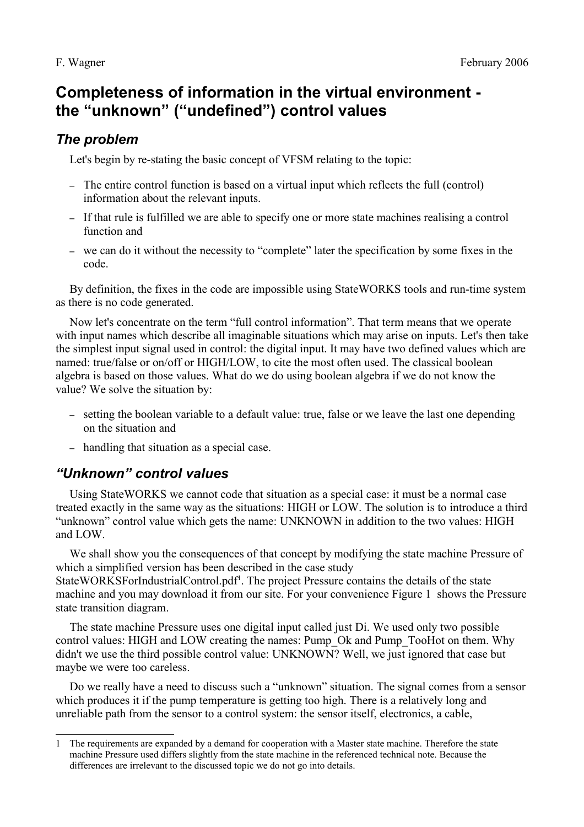# **Completeness of information in the virtual environment the "unknown" ("undefined") control values**

### *The problem*

Let's begin by re-stating the basic concept of VFSM relating to the topic:

- The entire control function is based on a virtual input which reflects the full (control) information about the relevant inputs.
- If that rule is fulfilled we are able to specify one or more state machines realising a control function and
- we can do it without the necessity to "complete" later the specification by some fixes in the code.

By definition, the fixes in the code are impossible using StateWORKS tools and run-time system as there is no code generated.

Now let's concentrate on the term "full control information". That term means that we operate with input names which describe all imaginable situations which may arise on inputs. Let's then take the simplest input signal used in control: the digital input. It may have two defined values which are named: true/false or on/off or HIGH/LOW, to cite the most often used. The classical boolean algebra is based on those values. What do we do using boolean algebra if we do not know the value? We solve the situation by:

- setting the boolean variable to a default value: true, false or we leave the last one depending on the situation and
- handling that situation as a special case.

## *"Unknown" control values*

Using StateWORKS we cannot code that situation as a special case: it must be a normal case treated exactly in the same way as the situations: HIGH or LOW. The solution is to introduce a third "unknown" control value which gets the name: UNKNOWN in addition to the two values: HIGH and LOW.

We shall show you the consequences of that concept by modifying the state machine Pressure of which a simplified version has been described in the case study

StateWORKSForIndustrialControl.pdf<sup>[1](#page-0-0)</sup>. The project Pressure contains the details of the state machine and you may download it from our site. For your convenience [Figure 1](#page-1-0) shows the Pressure state transition diagram.

The state machine Pressure uses one digital input called just Di. We used only two possible control values: HIGH and LOW creating the names: Pump\_Ok and Pump\_TooHot on them. Why didn't we use the third possible control value: UNKNOWN? Well, we just ignored that case but maybe we were too careless.

Do we really have a need to discuss such a "unknown" situation. The signal comes from a sensor which produces it if the pump temperature is getting too high. There is a relatively long and unreliable path from the sensor to a control system: the sensor itself, electronics, a cable,

<span id="page-0-0"></span><sup>1</sup> The requirements are expanded by a demand for cooperation with a Master state machine. Therefore the state machine Pressure used differs slightly from the state machine in the referenced technical note. Because the differences are irrelevant to the discussed topic we do not go into details.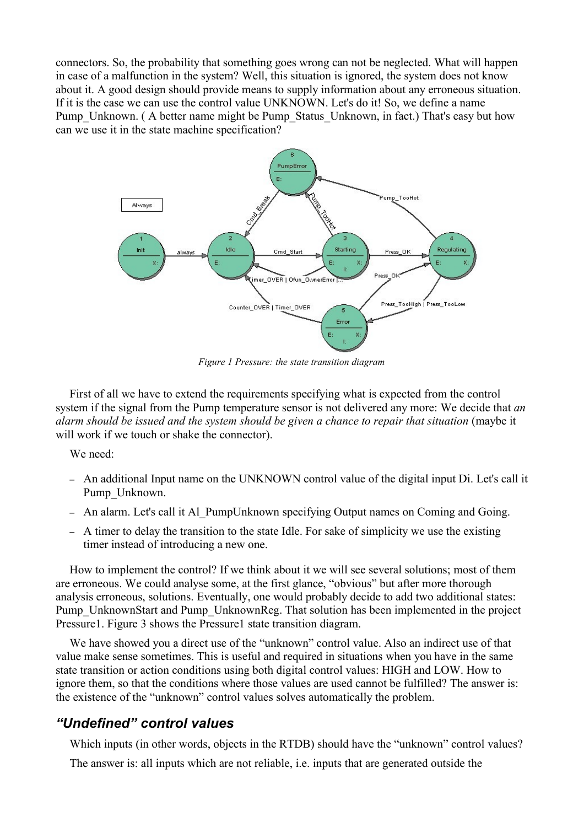connectors. So, the probability that something goes wrong can not be neglected. What will happen in case of a malfunction in the system? Well, this situation is ignored, the system does not know about it. A good design should provide means to supply information about any erroneous situation. If it is the case we can use the control value UNKNOWN. Let's do it! So, we define a name Pump\_Unknown. (A better name might be Pump\_Status\_Unknown, in fact.) That's easy but how can we use it in the state machine specification?



<span id="page-1-0"></span>*Figure 1 Pressure: the state transition diagram*

First of all we have to extend the requirements specifying what is expected from the control system if the signal from the Pump temperature sensor is not delivered any more: We decide that *an alarm should be issued and the system should be given a chance to repair that situation* (maybe it will work if we touch or shake the connector).

We need:

- An additional Input name on the UNKNOWN control value of the digital input Di. Let's call it Pump\_Unknown.
- An alarm. Let's call it Al\_PumpUnknown specifying Output names on Coming and Going.
- A timer to delay the transition to the state Idle. For sake of simplicity we use the existing timer instead of introducing a new one.

How to implement the control? If we think about it we will see several solutions; most of them are erroneous. We could analyse some, at the first glance, "obvious" but after more thorough analysis erroneous, solutions. Eventually, one would probably decide to add two additional states: Pump\_UnknownStart and Pump\_UnknownReg. That solution has been implemented in the project Pressure1. [Figure 3](#page-3-0) shows the Pressure1 state transition diagram.

We have showed you a direct use of the "unknown" control value. Also an indirect use of that value make sense sometimes. This is useful and required in situations when you have in the same state transition or action conditions using both digital control values: HIGH and LOW. How to ignore them, so that the conditions where those values are used cannot be fulfilled? The answer is: the existence of the "unknown" control values solves automatically the problem.

#### *"Undefined" control values*

Which inputs (in other words, objects in the RTDB) should have the "unknown" control values?

The answer is: all inputs which are not reliable, i.e. inputs that are generated outside the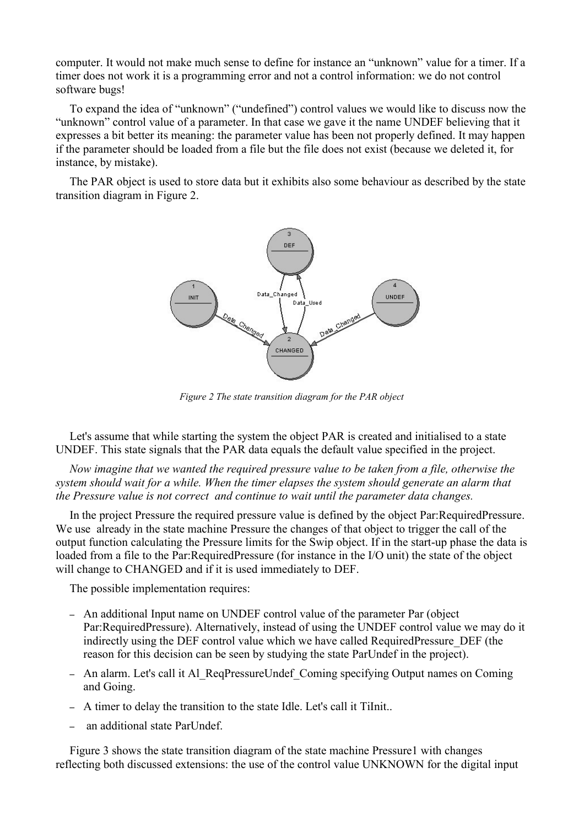computer. It would not make much sense to define for instance an "unknown" value for a timer. If a timer does not work it is a programming error and not a control information: we do not control software bugs!

To expand the idea of "unknown" ("undefined") control values we would like to discuss now the "unknown" control value of a parameter. In that case we gave it the name UNDEF believing that it expresses a bit better its meaning: the parameter value has been not properly defined. It may happen if the parameter should be loaded from a file but the file does not exist (because we deleted it, for instance, by mistake).

The PAR object is used to store data but it exhibits also some behaviour as described by the state transition diagram in [Figure 2.](#page-2-0)



<span id="page-2-0"></span>*Figure 2 The state transition diagram for the PAR object*

Let's assume that while starting the system the object PAR is created and initialised to a state UNDEF. This state signals that the PAR data equals the default value specified in the project.

*Now imagine that we wanted the required pressure value to be taken from a file, otherwise the system should wait for a while. When the timer elapses the system should generate an alarm that the Pressure value is not correct and continue to wait until the parameter data changes.*

In the project Pressure the required pressure value is defined by the object Par:RequiredPressure. We use already in the state machine Pressure the changes of that object to trigger the call of the output function calculating the Pressure limits for the Swip object. If in the start-up phase the data is loaded from a file to the Par:RequiredPressure (for instance in the I/O unit) the state of the object will change to CHANGED and if it is used immediately to DEF.

The possible implementation requires:

- An additional Input name on UNDEF control value of the parameter Par (object Par:RequiredPressure). Alternatively, instead of using the UNDEF control value we may do it indirectly using the DEF control value which we have called RequiredPressure\_DEF (the reason for this decision can be seen by studying the state ParUndef in the project).
- An alarm. Let's call it Al\_ReqPressureUndef\_Coming specifying Output names on Coming and Going.
- A timer to delay the transition to the state Idle. Let's call it TiInit..
- an additional state ParUndef.

[Figure 3](#page-3-0) shows the state transition diagram of the state machine Pressure1 with changes reflecting both discussed extensions: the use of the control value UNKNOWN for the digital input